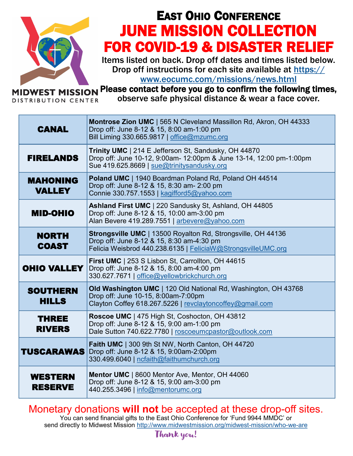

## EAST OHIO CONFERENCE JUNE MISSION COLLECTION FOR COVID-19 & DISASTER RELIEF

Items listed on back. Drop off dates and times listed below. Drop off instructions for each site available at https://

www.eocumc.com/missions/news.html

Please contact before you go to confirm the following times, **OWEST MISSION** 

**DISTRIBUTION CENTER** 

observe safe physical distance & wear a face cover.

| <b>CANAL</b>                     | Montrose Zion UMC   565 N Cleveland Massillon Rd, Akron, OH 44333<br>Drop off: June 8-12 & 15, 8:00 am-1:00 pm<br>Bill Liming 330.665.9817   office@mzumc.org                    |
|----------------------------------|----------------------------------------------------------------------------------------------------------------------------------------------------------------------------------|
| <b>FIRELANDS</b>                 | Trinity UMC   214 E Jefferson St, Sandusky, OH 44870<br>Drop off: June 10-12, 9:00am- 12:00pm & June 13-14, 12:00 pm-1:00pm<br>Sue 419.625.8669   sue@trinitysandusky.org        |
| <b>MAHONING</b><br><b>VALLEY</b> | Poland UMC   1940 Boardman Poland Rd, Poland OH 44514<br>Drop off: June 8-12 & 15, 8:30 am- 2:00 pm<br>Connie 330.757.1553   kagifford5@yahoo.com                                |
| <b>MID-OHIO</b>                  | Ashland First UMC   220 Sandusky St, Ashland, OH 44805<br>Drop off: June 8-12 & 15, 10:00 am-3:00 pm<br>Alan Bevere 419.289.7551   arbevere@yahoo.com                            |
| <b>NORTH</b><br><b>COAST</b>     | <b>Strongsville UMC</b>   13500 Royalton Rd, Strongsville, OH 44136<br>Drop off: June 8-12 & 15, 8:30 am-4:30 pm<br>Felicia Weisbrod 440.238.6135   FeliciaW@StrongsvilleUMC.org |
| <b>OHIO VALLEY</b>               | First UMC   253 S Lisbon St, Carrollton, OH 44615<br>Drop off: June 8-12 & 15, 8:00 am-4:00 pm<br>330.627.7671   office@yellowbrickchurch.org                                    |
| <b>SOUTHERN</b><br><b>HILLS</b>  | Old Washington UMC   120 Old National Rd, Washington, OH 43768<br>Drop off: June 10-15, 8:00am-7:00pm<br>Clayton Coffey 618.267.5226   revclaytoncoffey@gmail.com                |
| THREE<br><b>RIVERS</b>           | Roscoe UMC   475 High St, Coshocton, OH 43812<br>Drop off: June 8-12 & 15, 9:00 am-1:00 pm<br>Dale Sutton 740.622.7780   roscoeumcpastor@outlook.com                             |
| TUSCARAWAS                       | Faith UMC   300 9th St NW, North Canton, OH 44720<br>Drop off: June 8-12 & 15, 9:00am-2:00pm<br>330.499.6040   ncfaith@faithumchurch.org                                         |
| <b>WESTERN</b><br><b>RESERVE</b> | Mentor UMC   8600 Mentor Ave, Mentor, OH 44060<br>Drop off: June 8-12 & 15, 9:00 am-3:00 pm<br>440.255.3496   info@mentorumc.org                                                 |

### Monetary donations **will not** be accepted at these drop-off sites.

You can send financial gifts to the East Ohio Conference for 'Fund 9944 MMDC' or send directly to Midwest Mission http://www.midwestmission.org/midwest-mission/who-we-are